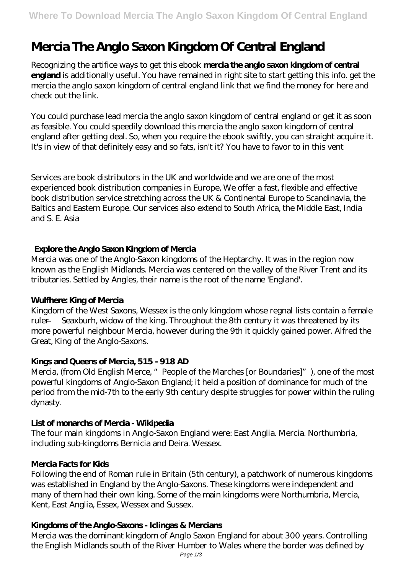# **Mercia The Anglo Saxon Kingdom Of Central England**

Recognizing the artifice ways to get this ebook **mercia the anglo saxon kingdom of central england** is additionally useful. You have remained in right site to start getting this info. get the mercia the anglo saxon kingdom of central england link that we find the money for here and check out the link.

You could purchase lead mercia the anglo saxon kingdom of central england or get it as soon as feasible. You could speedily download this mercia the anglo saxon kingdom of central england after getting deal. So, when you require the ebook swiftly, you can straight acquire it. It's in view of that definitely easy and so fats, isn't it? You have to favor to in this vent

Services are book distributors in the UK and worldwide and we are one of the most experienced book distribution companies in Europe, We offer a fast, flexible and effective book distribution service stretching across the UK & Continental Europe to Scandinavia, the Baltics and Eastern Europe. Our services also extend to South Africa, the Middle East, India and S. E. Asia

#### **Explore the Anglo Saxon Kingdom of Mercia**

Mercia was one of the Anglo-Saxon kingdoms of the Heptarchy. It was in the region now known as the English Midlands. Mercia was centered on the valley of the River Trent and its tributaries. Settled by Angles, their name is the root of the name 'England'.

#### **Wulfhere: King of Mercia**

Kingdom of the West Saxons, Wessex is the only kingdom whose regnal lists contain a female ruler — Seaxburh, widow of the king. Throughout the 8th century it was threatened by its more powerful neighbour Mercia, however during the 9th it quickly gained power. Alfred the Great, King of the Anglo-Saxons.

#### **Kings and Queens of Mercia, 515 - 918 AD**

Mercia, (from Old English Merce, " People of the Marches [or Boundaries]"), one of the most powerful kingdoms of Anglo-Saxon England; it held a position of dominance for much of the period from the mid-7th to the early 9th century despite struggles for power within the ruling dynasty.

#### **List of monarchs of Mercia - Wikipedia**

The four main kingdoms in Anglo-Saxon England were: East Anglia. Mercia. Northumbria, including sub-kingdoms Bernicia and Deira. Wessex.

#### **Mercia Facts for Kids**

Following the end of Roman rule in Britain (5th century), a patchwork of numerous kingdoms was established in England by the Anglo-Saxons. These kingdoms were independent and many of them had their own king. Some of the main kingdoms were Northumbria, Mercia, Kent, East Anglia, Essex, Wessex and Sussex.

#### **Kingdoms of the Anglo-Saxons - Iclingas & Mercians**

Mercia was the dominant kingdom of Anglo Saxon England for about 300 years. Controlling the English Midlands south of the River Humber to Wales where the border was defined by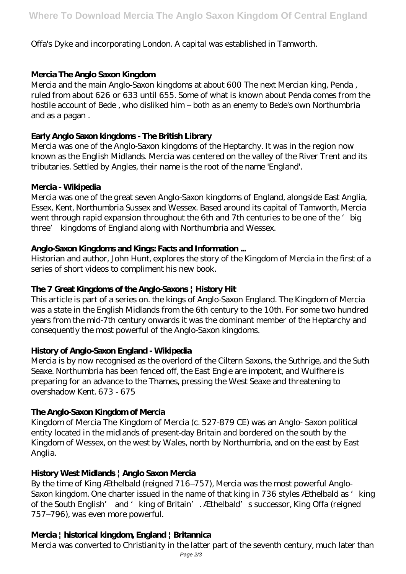## Offa's Dyke and incorporating London. A capital was established in Tamworth.

## **Mercia The Anglo Saxon Kingdom**

Mercia and the main Anglo-Saxon kingdoms at about 600 The next Mercian king, Penda , ruled from about 626 or 633 until 655. Some of what is known about Penda comes from the hostile account of Bede , who disliked him – both as an enemy to Bede's own Northumbria and as a pagan .

## **Early Anglo Saxon kingdoms - The British Library**

Mercia was one of the Anglo-Saxon kingdoms of the Heptarchy. It was in the region now known as the English Midlands. Mercia was centered on the valley of the River Trent and its tributaries. Settled by Angles, their name is the root of the name 'England'.

#### **Mercia - Wikipedia**

Mercia was one of the great seven Anglo-Saxon kingdoms of England, alongside East Anglia, Essex, Kent, Northumbria Sussex and Wessex. Based around its capital of Tamworth, Mercia went through rapid expansion throughout the 6th and 7th centuries to be one of the 'big three' kingdoms of England along with Northumbria and Wessex.

#### **Anglo-Saxon Kingdoms and Kings: Facts and Information ...**

Historian and author, John Hunt, explores the story of the Kingdom of Mercia in the first of a series of short videos to compliment his new book.

### **The 7 Great Kingdoms of the Anglo-Saxons | History Hit**

This article is part of a series on. the kings of Anglo-Saxon England. The Kingdom of Mercia was a state in the English Midlands from the 6th century to the 10th. For some two hundred years from the mid-7th century onwards it was the dominant member of the Heptarchy and consequently the most powerful of the Anglo-Saxon kingdoms.

#### **History of Anglo-Saxon England - Wikipedia**

Mercia is by now recognised as the overlord of the Ciltern Saxons, the Suthrige, and the Suth Seaxe. Northumbria has been fenced off, the East Engle are impotent, and Wulfhere is preparing for an advance to the Thames, pressing the West Seaxe and threatening to overshadow Kent. 673 - 675

## **The Anglo-Saxon Kingdom of Mercia**

Kingdom of Mercia The Kingdom of Mercia (c. 527-879 CE) was an Anglo- Saxon political entity located in the midlands of present-day Britain and bordered on the south by the Kingdom of Wessex, on the west by Wales, north by Northumbria, and on the east by East Anglia.

## **History West Midlands | Anglo Saxon Mercia**

By the time of King Æthelbald (reigned 716–757), Mercia was the most powerful Anglo-Saxon kingdom. One charter issued in the name of that king in 736 styles Æthelbald as 'king of the South English' and 'king of Britain'. Æthelbald's successor, King Offa (reigned 757–796), was even more powerful.

## **Mercia | historical kingdom, England | Britannica**

Mercia was converted to Christianity in the latter part of the seventh century, much later than